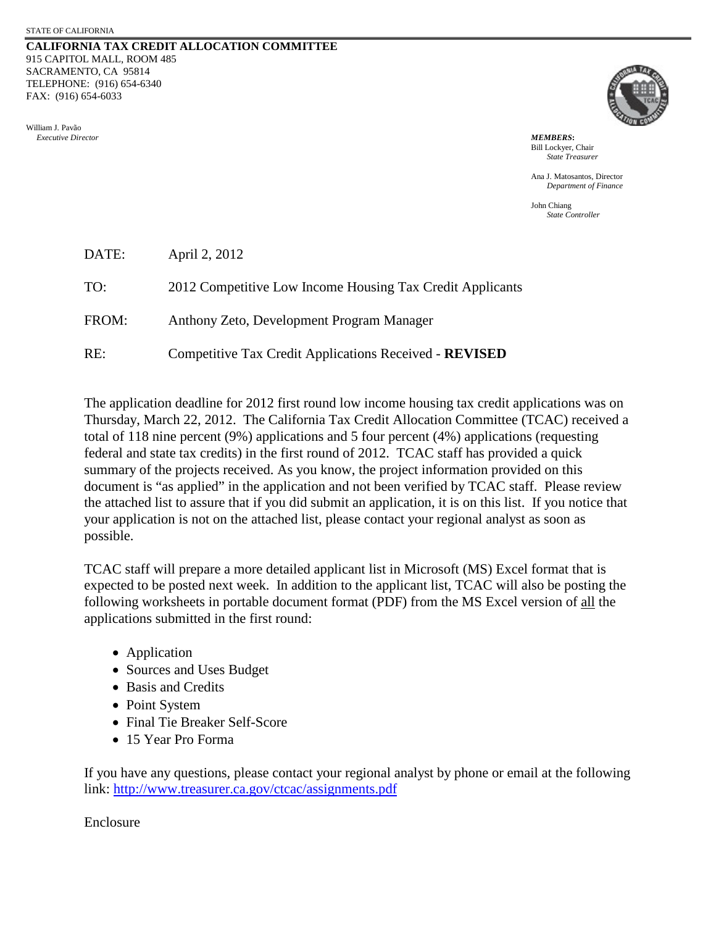#### **CALIFORNIA TAX CREDIT ALLOCATION COMMITTEE** 915 CAPITOL MALL, ROOM 485 SACRAMENTO, CA 95814 TELEPHONE: (916) 654-6340 FAX: (916) 654-6033

William J. Pavão  *Executive Director MEMBERS***:**



Bill Lockyer, Chair *State Treasurer*

Ana J. Matosantos, Director *Department of Finance*

John Chiang *State Controller*

| DATE: | April 2, 2012                                             |
|-------|-----------------------------------------------------------|
| TO:   | 2012 Competitive Low Income Housing Tax Credit Applicants |
| FROM: | Anthony Zeto, Development Program Manager                 |
| RE:   | Competitive Tax Credit Applications Received - REVISED    |

The application deadline for 2012 first round low income housing tax credit applications was on Thursday, March 22, 2012. The California Tax Credit Allocation Committee (TCAC) received a total of 118 nine percent (9%) applications and 5 four percent (4%) applications (requesting federal and state tax credits) in the first round of 2012. TCAC staff has provided a quick summary of the projects received. As you know, the project information provided on this document is "as applied" in the application and not been verified by TCAC staff. Please review the attached list to assure that if you did submit an application, it is on this list. If you notice that your application is not on the attached list, please contact your regional analyst as soon as possible.

TCAC staff will prepare a more detailed applicant list in Microsoft (MS) Excel format that is expected to be posted next week. In addition to the applicant list, TCAC will also be posting the following worksheets in portable document format (PDF) from the MS Excel version of all the applications submitted in the first round:

- Application
- Sources and Uses Budget
- Basis and Credits
- Point System
- Final Tie Breaker Self-Score
- 15 Year Pro Forma

If you have any questions, please contact your regional analyst by phone or email at the following link: http://www.treasurer.ca.gov/ctcac/assignments.pdf

Enclosure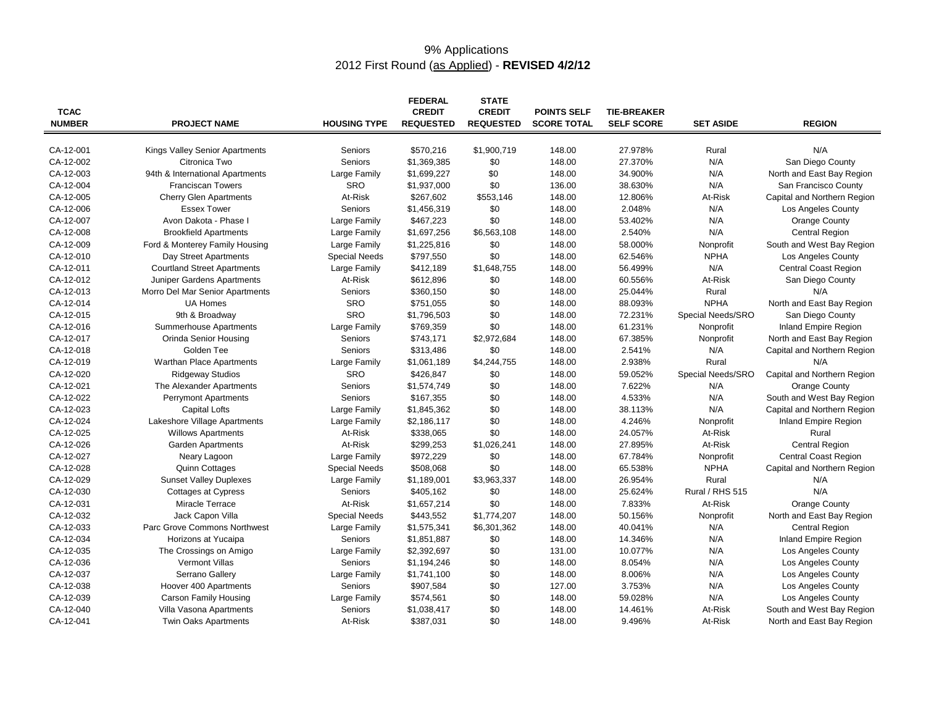# 9% Applications 2012 First Round (as Applied) - **REVISED 4/2/12**

| <b>TCAC</b>   |                                                 |                      | <b>FEDERAL</b><br><b>CREDIT</b> | <b>STATE</b><br><b>CREDIT</b> | <b>POINTS SELF</b> | <b>TIE-BREAKER</b> |                   |                             |
|---------------|-------------------------------------------------|----------------------|---------------------------------|-------------------------------|--------------------|--------------------|-------------------|-----------------------------|
| <b>NUMBER</b> | <b>PROJECT NAME</b>                             | <b>HOUSING TYPE</b>  | <b>REQUESTED</b>                | <b>REQUESTED</b>              | <b>SCORE TOTAL</b> | <b>SELF SCORE</b>  | <b>SET ASIDE</b>  | <b>REGION</b>               |
| CA-12-001     |                                                 |                      |                                 |                               | 148.00             | 27.978%            |                   | N/A                         |
| CA-12-002     | Kings Valley Senior Apartments<br>Citronica Two | Seniors<br>Seniors   | \$570,216<br>\$1,369,385        | \$1,900,719<br>\$0            | 148.00             | 27.370%            | Rural<br>N/A      | San Diego County            |
| CA-12-003     |                                                 | Large Family         | \$1,699,227                     |                               | 148.00             | 34.900%            | N/A               | North and East Bay Region   |
| CA-12-004     | 94th & International Apartments                 | <b>SRO</b>           |                                 | \$0                           |                    |                    |                   |                             |
| CA-12-005     | <b>Franciscan Towers</b>                        | At-Risk              | \$1,937,000<br>\$267,602        | \$0                           | 136.00             | 38.630%            | N/A               | San Francisco County        |
|               | <b>Cherry Glen Apartments</b>                   |                      |                                 | \$553,146                     | 148.00             | 12.806%            | At-Risk           | Capital and Northern Region |
| CA-12-006     | <b>Essex Tower</b>                              | Seniors              | \$1,456,319                     | \$0                           | 148.00             | 2.048%             | N/A               | <b>Los Angeles County</b>   |
| CA-12-007     | Avon Dakota - Phase I                           | Large Family         | \$467,223                       | \$0                           | 148.00             | 53.402%            | N/A               | Orange County               |
| CA-12-008     | <b>Brookfield Apartments</b>                    | Large Family         | \$1,697,256                     | \$6,563,108                   | 148.00             | 2.540%             | N/A               | <b>Central Region</b>       |
| CA-12-009     | Ford & Monterey Family Housing                  | Large Family         | \$1,225,816                     | \$0                           | 148.00             | 58.000%            | Nonprofit         | South and West Bay Region   |
| CA-12-010     | Day Street Apartments                           | <b>Special Needs</b> | \$797,550                       | \$0                           | 148.00             | 62.546%            | <b>NPHA</b>       | Los Angeles County          |
| CA-12-011     | <b>Courtland Street Apartments</b>              | Large Family         | \$412,189                       | \$1,648,755                   | 148.00             | 56.499%            | N/A               | <b>Central Coast Region</b> |
| CA-12-012     | Juniper Gardens Apartments                      | At-Risk              | \$612,896                       | \$0                           | 148.00             | 60.556%            | At-Risk           | San Diego County            |
| CA-12-013     | Morro Del Mar Senior Apartments                 | Seniors              | \$360,150                       | \$0                           | 148.00             | 25.044%            | Rural             | N/A                         |
| CA-12-014     | <b>UA Homes</b>                                 | <b>SRO</b>           | \$751,055                       | \$0                           | 148.00             | 88.093%            | <b>NPHA</b>       | North and East Bay Region   |
| CA-12-015     | 9th & Broadway                                  | SRO                  | \$1,796,503                     | \$0                           | 148.00             | 72.231%            | Special Needs/SRO | San Diego County            |
| CA-12-016     | Summerhouse Apartments                          | Large Family         | \$769,359                       | \$0                           | 148.00             | 61.231%            | Nonprofit         | Inland Empire Region        |
| CA-12-017     | Orinda Senior Housing                           | Seniors              | \$743,171                       | \$2,972,684                   | 148.00             | 67.385%            | Nonprofit         | North and East Bay Region   |
| CA-12-018     | Golden Tee                                      | Seniors              | \$313,486                       | \$0                           | 148.00             | 2.541%             | N/A               | Capital and Northern Region |
| CA-12-019     | Warthan Place Apartments                        | Large Family         | \$1,061,189                     | \$4,244,755                   | 148.00             | 2.938%             | Rural             | N/A                         |
| CA-12-020     | <b>Ridgeway Studios</b>                         | <b>SRO</b>           | \$426,847                       | \$0                           | 148.00             | 59.052%            | Special Needs/SRO | Capital and Northern Region |
| CA-12-021     | The Alexander Apartments                        | Seniors              | \$1,574,749                     | \$0                           | 148.00             | 7.622%             | N/A               | Orange County               |
| CA-12-022     | <b>Perrymont Apartments</b>                     | Seniors              | \$167,355                       | \$0                           | 148.00             | 4.533%             | N/A               | South and West Bay Region   |
| CA-12-023     | <b>Capital Lofts</b>                            | Large Family         | \$1,845,362                     | \$0                           | 148.00             | 38.113%            | N/A               | Capital and Northern Region |
| CA-12-024     | Lakeshore Village Apartments                    | Large Family         | \$2,186,117                     | \$0                           | 148.00             | 4.246%             | Nonprofit         | Inland Empire Region        |
| CA-12-025     | <b>Willows Apartments</b>                       | At-Risk              | \$338,065                       | \$0                           | 148.00             | 24.057%            | At-Risk           | Rural                       |
| CA-12-026     | <b>Garden Apartments</b>                        | At-Risk              | \$299,253                       | \$1,026,241                   | 148.00             | 27.895%            | At-Risk           | <b>Central Region</b>       |
| CA-12-027     | Neary Lagoon                                    | Large Family         | \$972,229                       | \$0                           | 148.00             | 67.784%            | Nonprofit         | <b>Central Coast Region</b> |
| CA-12-028     | <b>Quinn Cottages</b>                           | <b>Special Needs</b> | \$508,068                       | \$0                           | 148.00             | 65.538%            | <b>NPHA</b>       | Capital and Northern Region |
| CA-12-029     | <b>Sunset Valley Duplexes</b>                   | Large Family         | \$1,189,001                     | \$3,963,337                   | 148.00             | 26.954%            | Rural             | N/A                         |
| CA-12-030     | <b>Cottages at Cypress</b>                      | Seniors              | \$405,162                       | \$0                           | 148.00             | 25.624%            | Rural / RHS 515   | N/A                         |
| CA-12-031     | Miracle Terrace                                 | At-Risk              | \$1,657,214                     | \$0                           | 148.00             | 7.833%             | At-Risk           | Orange County               |
| CA-12-032     | Jack Capon Villa                                | <b>Special Needs</b> | \$443,552                       | \$1,774,207                   | 148.00             | 50.156%            | Nonprofit         | North and East Bay Region   |
| CA-12-033     | Parc Grove Commons Northwest                    | Large Family         | \$1,575,341                     | \$6,301,362                   | 148.00             | 40.041%            | N/A               | <b>Central Region</b>       |
| CA-12-034     | Horizons at Yucaipa                             | Seniors              | \$1,851,887                     | \$0                           | 148.00             | 14.346%            | N/A               | <b>Inland Empire Region</b> |
| CA-12-035     | The Crossings on Amigo                          | Large Family         | \$2,392,697                     | \$0                           | 131.00             | 10.077%            | N/A               | Los Angeles County          |
| CA-12-036     | <b>Vermont Villas</b>                           | Seniors              | \$1,194,246                     | \$0                           | 148.00             | 8.054%             | N/A               | Los Angeles County          |
| CA-12-037     | Serrano Gallery                                 | Large Family         | \$1,741,100                     | \$0                           | 148.00             | 8.006%             | N/A               | Los Angeles County          |
| CA-12-038     | Hoover 400 Apartments                           | Seniors              | \$907,584                       | \$0                           | 127.00             | 3.753%             | N/A               | Los Angeles County          |
| CA-12-039     | <b>Carson Family Housing</b>                    | Large Family         | \$574,561                       | \$0                           | 148.00             | 59.028%            | N/A               | Los Angeles County          |
| CA-12-040     | Villa Vasona Apartments                         | Seniors              | \$1,038,417                     | \$0                           | 148.00             | 14.461%            | At-Risk           | South and West Bay Region   |
| CA-12-041     | <b>Twin Oaks Apartments</b>                     | At-Risk              | \$387,031                       | \$0                           | 148.00             | 9.496%             | At-Risk           | North and East Bay Region   |
|               |                                                 |                      |                                 |                               |                    |                    |                   |                             |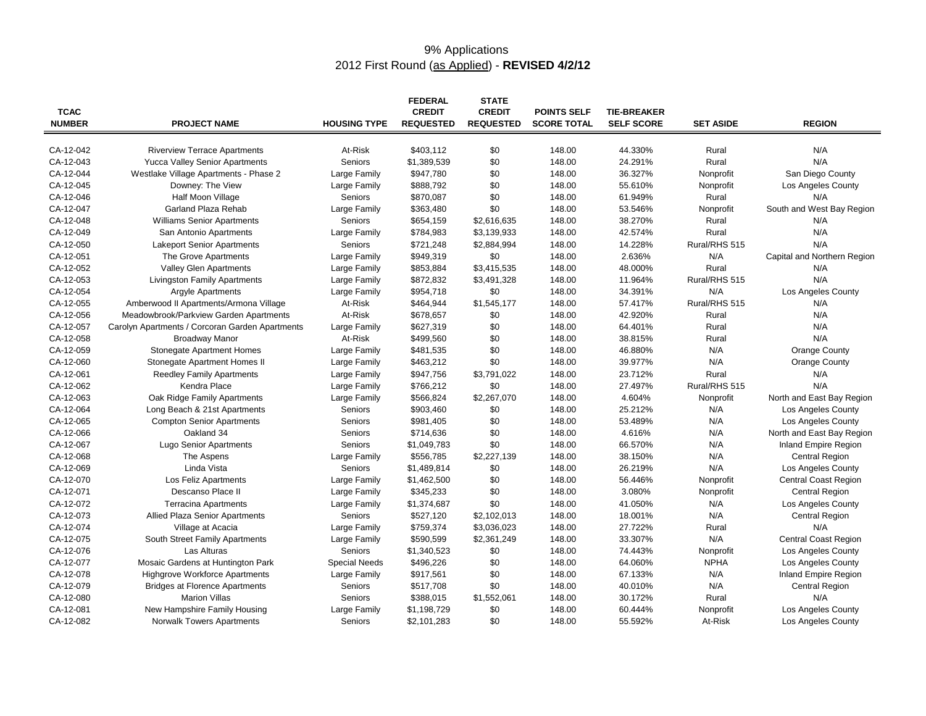# 9% Applications 2012 First Round (as Applied) - **REVISED 4/2/12**

| <b>TCAC</b><br><b>NUMBER</b> | <b>PROJECT NAME</b>                             | <b>HOUSING TYPE</b>          | <b>FEDERAL</b><br><b>CREDIT</b><br><b>REQUESTED</b> | <b>STATE</b><br><b>CREDIT</b><br><b>REQUESTED</b> | <b>POINTS SELF</b><br><b>SCORE TOTAL</b> | <b>TIE-BREAKER</b><br><b>SELF SCORE</b> | <b>SET ASIDE</b> | <b>REGION</b>               |
|------------------------------|-------------------------------------------------|------------------------------|-----------------------------------------------------|---------------------------------------------------|------------------------------------------|-----------------------------------------|------------------|-----------------------------|
| CA-12-042                    | <b>Riverview Terrace Apartments</b>             | At-Risk                      | \$403,112                                           | \$0                                               | 148.00                                   | 44.330%                                 | Rural            | N/A                         |
| CA-12-043                    | <b>Yucca Valley Senior Apartments</b>           | Seniors                      | \$1,389,539                                         | \$0                                               | 148.00                                   | 24.291%                                 | Rural            | N/A                         |
| CA-12-044                    | Westlake Village Apartments - Phase 2           | Large Family                 | \$947,780                                           | \$0                                               | 148.00                                   | 36.327%                                 | Nonprofit        | San Diego County            |
| CA-12-045                    | Downey: The View                                | Large Family                 | \$888,792                                           | \$0                                               | 148.00                                   | 55.610%                                 | Nonprofit        | Los Angeles County          |
| CA-12-046                    | Half Moon Village                               | <b>Seniors</b>               | \$870,087                                           | \$0                                               | 148.00                                   | 61.949%                                 | Rural            | N/A                         |
| CA-12-047                    | Garland Plaza Rehab                             | Large Family                 | \$363,480                                           | \$0                                               | 148.00                                   | 53.546%                                 | Nonprofit        | South and West Bay Region   |
| CA-12-048                    | <b>Williams Senior Apartments</b>               | Seniors                      | \$654,159                                           | \$2,616,635                                       | 148.00                                   | 38.270%                                 | Rural            | N/A                         |
| CA-12-049                    | San Antonio Apartments                          | Large Family                 | \$784,983                                           | \$3,139,933                                       | 148.00                                   | 42.574%                                 | Rural            | N/A                         |
| CA-12-050                    | <b>Lakeport Senior Apartments</b>               | <b>Seniors</b>               | \$721,248                                           | \$2,884,994                                       | 148.00                                   | 14.228%                                 | Rural/RHS 515    | N/A                         |
| CA-12-051                    | The Grove Apartments                            | Large Family                 | \$949,319                                           | \$0                                               | 148.00                                   | 2.636%                                  | N/A              | Capital and Northern Region |
| CA-12-052                    | <b>Valley Glen Apartments</b>                   | Large Family                 | \$853,884                                           | \$3,415,535                                       | 148.00                                   | 48.000%                                 | Rural            | N/A                         |
| CA-12-053                    | <b>Livingston Family Apartments</b>             |                              | \$872,832                                           | \$3,491,328                                       | 148.00                                   | 11.964%                                 | Rural/RHS 515    | N/A                         |
| CA-12-054                    | <b>Argyle Apartments</b>                        | Large Family<br>Large Family | \$954,718                                           | \$0                                               | 148.00                                   | 34.391%                                 | N/A              | Los Angeles County          |
| CA-12-055                    | Amberwood II Apartments/Armona Village          | At-Risk                      |                                                     | \$1,545,177                                       | 148.00                                   | 57.417%                                 | Rural/RHS 515    | N/A                         |
|                              |                                                 | At-Risk                      | \$464,944                                           |                                                   |                                          |                                         |                  | N/A                         |
| CA-12-056                    | Meadowbrook/Parkview Garden Apartments          |                              | \$678,657                                           | \$0                                               | 148.00                                   | 42.920%                                 | Rural            | N/A                         |
| CA-12-057                    | Carolyn Apartments / Corcoran Garden Apartments | Large Family                 | \$627,319                                           | \$0                                               | 148.00                                   | 64.401%                                 | Rural            |                             |
| CA-12-058                    | <b>Broadway Manor</b>                           | At-Risk                      | \$499,560                                           | \$0                                               | 148.00                                   | 38.815%                                 | Rural            | N/A                         |
| CA-12-059                    | <b>Stonegate Apartment Homes</b>                | Large Family                 | \$481,535                                           | \$0                                               | 148.00                                   | 46.880%                                 | N/A              | Orange County               |
| CA-12-060                    | Stonegate Apartment Homes II                    | Large Family                 | \$463,212                                           | \$0                                               | 148.00                                   | 39.977%                                 | N/A              | Orange County               |
| CA-12-061                    | <b>Reedley Family Apartments</b>                | Large Family                 | \$947,756                                           | \$3,791,022                                       | 148.00                                   | 23.712%                                 | Rural            | N/A                         |
| CA-12-062                    | Kendra Place                                    | Large Family                 | \$766,212                                           | \$0                                               | 148.00                                   | 27.497%                                 | Rural/RHS 515    | N/A                         |
| CA-12-063                    | Oak Ridge Family Apartments                     | Large Family                 | \$566,824                                           | \$2,267,070                                       | 148.00                                   | 4.604%                                  | Nonprofit        | North and East Bay Region   |
| CA-12-064                    | Long Beach & 21st Apartments                    | Seniors                      | \$903,460                                           | \$0                                               | 148.00                                   | 25.212%                                 | N/A              | Los Angeles County          |
| CA-12-065                    | <b>Compton Senior Apartments</b>                | Seniors                      | \$981,405                                           | \$0                                               | 148.00                                   | 53.489%                                 | N/A              | Los Angeles County          |
| CA-12-066                    | Oakland 34                                      | Seniors                      | \$714,636                                           | \$0                                               | 148.00                                   | 4.616%                                  | N/A              | North and East Bay Region   |
| CA-12-067                    | <b>Lugo Senior Apartments</b>                   | Seniors                      | \$1,049,783                                         | \$0                                               | 148.00                                   | 66.570%                                 | N/A              | <b>Inland Empire Region</b> |
| CA-12-068                    | The Aspens                                      | Large Family                 | \$556,785                                           | \$2,227,139                                       | 148.00                                   | 38.150%                                 | N/A              | Central Region              |
| CA-12-069                    | Linda Vista                                     | Seniors                      | \$1,489,814                                         | \$0                                               | 148.00                                   | 26.219%                                 | N/A              | Los Angeles County          |
| CA-12-070                    | Los Feliz Apartments                            | Large Family                 | \$1,462,500                                         | \$0                                               | 148.00                                   | 56.446%                                 | Nonprofit        | <b>Central Coast Region</b> |
| CA-12-071                    | Descanso Place II                               | Large Family                 | \$345,233                                           | \$0                                               | 148.00                                   | 3.080%                                  | Nonprofit        | Central Region              |
| CA-12-072                    | <b>Terracina Apartments</b>                     | Large Family                 | \$1,374,687                                         | \$0                                               | 148.00                                   | 41.050%                                 | N/A              | Los Angeles County          |
| CA-12-073                    | Allied Plaza Senior Apartments                  | <b>Seniors</b>               | \$527,120                                           | \$2,102,013                                       | 148.00                                   | 18.001%                                 | N/A              | Central Region              |
| CA-12-074                    | Village at Acacia                               | Large Family                 | \$759,374                                           | \$3,036,023                                       | 148.00                                   | 27.722%                                 | Rural            | N/A                         |
| CA-12-075                    | South Street Family Apartments                  | Large Family                 | \$590,599                                           | \$2,361,249                                       | 148.00                                   | 33.307%                                 | N/A              | <b>Central Coast Region</b> |
| CA-12-076                    | Las Alturas                                     | <b>Seniors</b>               | \$1,340,523                                         | \$0                                               | 148.00                                   | 74.443%                                 | Nonprofit        | Los Angeles County          |
| CA-12-077                    | Mosaic Gardens at Huntington Park               | <b>Special Needs</b>         | \$496,226                                           | \$0                                               | 148.00                                   | 64.060%                                 | <b>NPHA</b>      | Los Angeles County          |
| CA-12-078                    | <b>Highgrove Workforce Apartments</b>           | Large Family                 | \$917,561                                           | \$0                                               | 148.00                                   | 67.133%                                 | N/A              | Inland Empire Region        |
| CA-12-079                    | <b>Bridges at Florence Apartments</b>           | Seniors                      | \$517,708                                           | \$0                                               | 148.00                                   | 40.010%                                 | N/A              | Central Region              |
| CA-12-080                    | <b>Marion Villas</b>                            | Seniors                      | \$388,015                                           | \$1,552,061                                       | 148.00                                   | 30.172%                                 | Rural            | N/A                         |
| CA-12-081                    | New Hampshire Family Housing                    | Large Family                 | \$1,198,729                                         | \$0                                               | 148.00                                   | 60.444%                                 | Nonprofit        | Los Angeles County          |
| CA-12-082                    | <b>Norwalk Towers Apartments</b>                | Seniors                      | \$2,101,283                                         | \$0                                               | 148.00                                   | 55.592%                                 | At-Risk          | Los Angeles County          |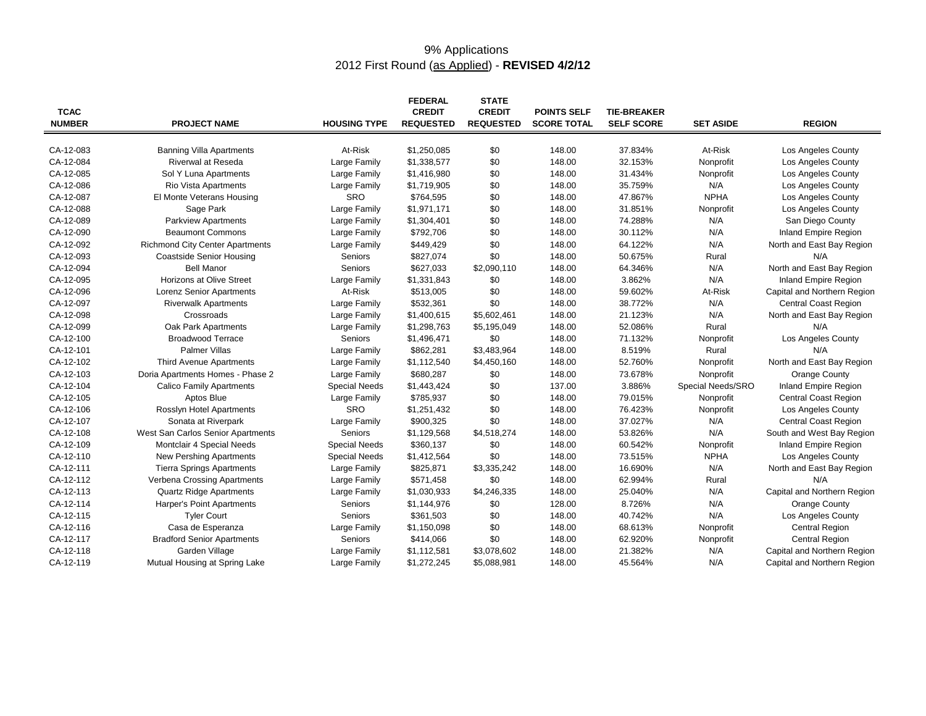# 9% Applications 2012 First Round (as Applied) - **REVISED 4/2/12**

| <b>TCAC</b><br><b>NUMBER</b> | <b>PROJECT NAME</b>                    | <b>HOUSING TYPE</b>  | <b>FEDERAL</b><br><b>CREDIT</b><br><b>REQUESTED</b> | <b>STATE</b><br><b>CREDIT</b><br><b>REQUESTED</b> | <b>POINTS SELF</b><br><b>SCORE TOTAL</b> | <b>TIE-BREAKER</b><br><b>SELF SCORE</b> | <b>SET ASIDE</b>  | <b>REGION</b>               |
|------------------------------|----------------------------------------|----------------------|-----------------------------------------------------|---------------------------------------------------|------------------------------------------|-----------------------------------------|-------------------|-----------------------------|
| CA-12-083                    | <b>Banning Villa Apartments</b>        | At-Risk              | \$1,250,085                                         | \$0                                               | 148.00                                   | 37.834%                                 | At-Risk           | Los Angeles County          |
| CA-12-084                    | Riverwal at Reseda                     | Large Family         | \$1,338,577                                         | \$0                                               | 148.00                                   | 32.153%                                 | Nonprofit         | <b>Los Angeles County</b>   |
| CA-12-085                    | Sol Y Luna Apartments                  | Large Family         | \$1,416,980                                         | \$0                                               | 148.00                                   | 31.434%                                 | Nonprofit         | Los Angeles County          |
| CA-12-086                    | Rio Vista Apartments                   | Large Family         | \$1,719,905                                         | \$0                                               | 148.00                                   | 35.759%                                 | N/A               | Los Angeles County          |
| CA-12-087                    | El Monte Veterans Housing              | SRO                  | \$764,595                                           | \$0                                               | 148.00                                   | 47.867%                                 | <b>NPHA</b>       | Los Angeles County          |
| CA-12-088                    | Sage Park                              | Large Family         | \$1,971,171                                         | \$0                                               | 148.00                                   | 31.851%                                 | Nonprofit         | Los Angeles County          |
| CA-12-089                    | <b>Parkview Apartments</b>             | Large Family         | \$1,304,401                                         | \$0                                               | 148.00                                   | 74.288%                                 | N/A               | San Diego County            |
| CA-12-090                    | <b>Beaumont Commons</b>                | Large Family         | \$792,706                                           | \$0                                               | 148.00                                   | 30.112%                                 | N/A               | Inland Empire Region        |
| CA-12-092                    | <b>Richmond City Center Apartments</b> | Large Family         | \$449,429                                           | \$0                                               | 148.00                                   | 64.122%                                 | N/A               | North and East Bay Region   |
| CA-12-093                    | <b>Coastside Senior Housing</b>        | Seniors              | \$827,074                                           | \$0                                               | 148.00                                   | 50.675%                                 | Rural             | N/A                         |
| CA-12-094                    | <b>Bell Manor</b>                      | Seniors              | \$627,033                                           | \$2,090,110                                       | 148.00                                   | 64.346%                                 | N/A               | North and East Bay Region   |
| CA-12-095                    | Horizons at Olive Street               | Large Family         | \$1,331,843                                         | \$0                                               | 148.00                                   | 3.862%                                  | N/A               | Inland Empire Region        |
| CA-12-096                    | Lorenz Senior Apartments               | At-Risk              | \$513,005                                           | \$0                                               | 148.00                                   | 59.602%                                 | At-Risk           | Capital and Northern Region |
| CA-12-097                    | <b>Riverwalk Apartments</b>            | Large Family         | \$532,361                                           | \$0                                               | 148.00                                   | 38.772%                                 | N/A               | Central Coast Region        |
| CA-12-098                    | Crossroads                             | Large Family         | \$1,400,615                                         | \$5,602,461                                       | 148.00                                   | 21.123%                                 | N/A               | North and East Bay Region   |
| CA-12-099                    | Oak Park Apartments                    | Large Family         | \$1,298,763                                         | \$5,195,049                                       | 148.00                                   | 52.086%                                 | Rural             | N/A                         |
| CA-12-100                    | <b>Broadwood Terrace</b>               | Seniors              | \$1,496,471                                         | \$0                                               | 148.00                                   | 71.132%                                 | Nonprofit         | Los Angeles County          |
| CA-12-101                    | <b>Palmer Villas</b>                   | Large Family         | \$862,281                                           | \$3,483,964                                       | 148.00                                   | 8.519%                                  | Rural             | N/A                         |
| CA-12-102                    | <b>Third Avenue Apartments</b>         | Large Family         | \$1,112,540                                         | \$4,450,160                                       | 148.00                                   | 52.760%                                 | Nonprofit         | North and East Bay Region   |
| CA-12-103                    | Doria Apartments Homes - Phase 2       | Large Family         | \$680,287                                           | \$0                                               | 148.00                                   | 73.678%                                 | Nonprofit         | Orange County               |
| CA-12-104                    | <b>Calico Family Apartments</b>        | <b>Special Needs</b> | \$1,443,424                                         | \$0                                               | 137.00                                   | 3.886%                                  | Special Needs/SRO | <b>Inland Empire Region</b> |
| CA-12-105                    | Aptos Blue                             | Large Family         | \$785,937                                           | \$0                                               | 148.00                                   | 79.015%                                 | Nonprofit         | <b>Central Coast Region</b> |
| CA-12-106                    | Rosslyn Hotel Apartments               | SRO                  | \$1,251,432                                         | \$0                                               | 148.00                                   | 76.423%                                 | Nonprofit         | Los Angeles County          |
| CA-12-107                    | Sonata at Riverpark                    | Large Family         | \$900,325                                           | \$0                                               | 148.00                                   | 37.027%                                 | N/A               | <b>Central Coast Region</b> |
| CA-12-108                    | West San Carlos Senior Apartments      | Seniors              | \$1,129,568                                         | \$4,518,274                                       | 148.00                                   | 53.826%                                 | N/A               | South and West Bay Region   |
| CA-12-109                    | Montclair 4 Special Needs              | <b>Special Needs</b> | \$360,137                                           | \$0                                               | 148.00                                   | 60.542%                                 | Nonprofit         | <b>Inland Empire Region</b> |
| CA-12-110                    | New Pershing Apartments                | <b>Special Needs</b> | \$1,412,564                                         | \$0                                               | 148.00                                   | 73.515%                                 | <b>NPHA</b>       | <b>Los Angeles County</b>   |
| CA-12-111                    | <b>Tierra Springs Apartments</b>       | Large Family         | \$825,871                                           | \$3,335,242                                       | 148.00                                   | 16.690%                                 | N/A               | North and East Bay Region   |
| CA-12-112                    | Verbena Crossing Apartments            | Large Family         | \$571,458                                           | \$0                                               | 148.00                                   | 62.994%                                 | Rural             | N/A                         |
| CA-12-113                    | <b>Quartz Ridge Apartments</b>         | Large Family         | \$1,030,933                                         | \$4,246,335                                       | 148.00                                   | 25.040%                                 | N/A               | Capital and Northern Region |
| CA-12-114                    | Harper's Point Apartments              | Seniors              | \$1,144,976                                         | \$0                                               | 128.00                                   | 8.726%                                  | N/A               | Orange County               |
| CA-12-115                    | <b>Tyler Court</b>                     | Seniors              | \$361,503                                           | \$0                                               | 148.00                                   | 40.742%                                 | N/A               | Los Angeles County          |
| CA-12-116                    | Casa de Esperanza                      | Large Family         | \$1,150,098                                         | \$0                                               | 148.00                                   | 68.613%                                 | Nonprofit         | <b>Central Region</b>       |
| CA-12-117                    | <b>Bradford Senior Apartments</b>      | Seniors              | \$414,066                                           | \$0                                               | 148.00                                   | 62.920%                                 | Nonprofit         | <b>Central Region</b>       |
| CA-12-118                    | Garden Village                         | Large Family         | \$1,112,581                                         | \$3,078,602                                       | 148.00                                   | 21.382%                                 | N/A               | Capital and Northern Region |
| CA-12-119                    | Mutual Housing at Spring Lake          | Large Family         | \$1,272,245                                         | \$5,088,981                                       | 148.00                                   | 45.564%                                 | N/A               | Capital and Northern Region |